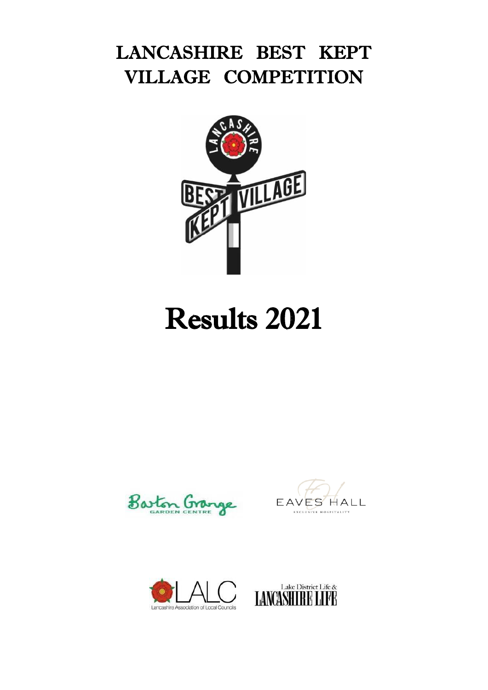## LANCASHIRE BEST KEPT VILLAGE COMPETITION



# Results 2021







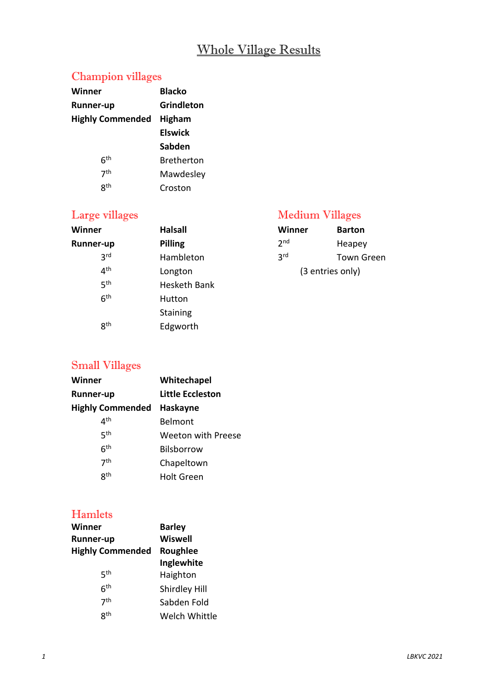#### Whole Village Results

#### Champion villages

| Winner                  | <b>Blacko</b>     |
|-------------------------|-------------------|
| Runner-up               | <b>Grindleton</b> |
| <b>Highly Commended</b> | <b>Higham</b>     |
|                         | <b>Elswick</b>    |
|                         | Sabden            |
| 6 <sup>th</sup>         | <b>Bretherton</b> |
| 7 <sup>th</sup>         | Mawdesley         |
| gth                     | Croston           |

| Winner           | <b>Halsall</b>  | <b>Winner</b>   | <b>Barton</b>    |
|------------------|-----------------|-----------------|------------------|
| <b>Runner-up</b> | <b>Pilling</b>  | 2 <sub>nd</sub> | Heapey           |
| 3 <sup>rd</sup>  | Hambleton       | 3 <sup>rd</sup> | Town G           |
| 4 <sup>th</sup>  | Longton         |                 | (3 entries only) |
| 5 <sup>th</sup>  | Hesketh Bank    |                 |                  |
| 6 <sup>th</sup>  | Hutton          |                 |                  |
|                  | <b>Staining</b> |                 |                  |
| 8 <sup>th</sup>  | Edgworth        |                 |                  |
|                  |                 |                 |                  |

#### Large villages and a medium Villages and Medium Villages

| Winner           | <b>Barton</b> |  |
|------------------|---------------|--|
| 2 <sub>nd</sub>  | Heapey        |  |
| 3 <sup>rd</sup>  | Town Green    |  |
| (3 entries only) |               |  |

#### Small Villages

| Winner                  | Whitechapel        |
|-------------------------|--------------------|
| Runner-up               | Little Eccleston   |
| <b>Highly Commended</b> | Haskayne           |
| ⊿th                     | Belmont            |
| 5 <sup>th</sup>         | Weeton with Preese |
| 6 <sup>th</sup>         | <b>Bilsborrow</b>  |
| 7 <sup>th</sup>         | Chapeltown         |
| gth                     | <b>Holt Green</b>  |

#### Hamlets

| Winner                  | <b>Barley</b>        |
|-------------------------|----------------------|
| <b>Runner-up</b>        | <b>Wiswell</b>       |
| <b>Highly Commended</b> | <b>Roughlee</b>      |
|                         | Inglewhite           |
| ςth                     | Haighton             |
| 6 <sup>th</sup>         | Shirdley Hill        |
| 7 <sup>th</sup>         | Sabden Fold          |
| <b>gth</b>              | <b>Welch Whittle</b> |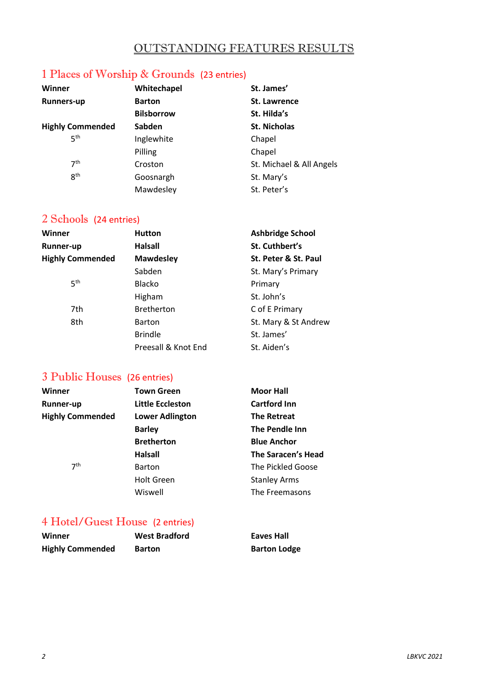#### OUTSTANDING FEATURES RESULTS

### 1 Places of Worship & Grounds (23 entries)

| Winner                  | Whitechapel       | St. James'               |
|-------------------------|-------------------|--------------------------|
| <b>Runners-up</b>       | <b>Barton</b>     | <b>St. Lawrence</b>      |
|                         | <b>Bilsborrow</b> | St. Hilda's              |
| <b>Highly Commended</b> | <b>Sabden</b>     | <b>St. Nicholas</b>      |
| 5 <sup>th</sup>         | Inglewhite        | Chapel                   |
|                         | Pilling           | Chapel                   |
| 7 <sup>th</sup>         | Croston           | St. Michael & All Angels |
| 8 <sup>th</sup>         | Goosnargh         | St. Mary's               |
|                         | Mawdesley         | St. Peter's              |

#### 2 Schools (24 entries)

| Winner                  | <b>Hutton</b>       | <b>Ashbridge School</b> |
|-------------------------|---------------------|-------------------------|
| <b>Runner-up</b>        | Halsall             | St. Cuthbert's          |
| <b>Highly Commended</b> | <b>Mawdesley</b>    | St. Peter & St. Paul    |
|                         | Sabden              | St. Mary's Primary      |
| 5 <sup>th</sup>         | <b>Blacko</b>       | Primary                 |
|                         | Higham              | St. John's              |
| 7th                     | <b>Bretherton</b>   | C of E Primary          |
| 8th                     | <b>Barton</b>       | St. Mary & St Andrew    |
|                         | <b>Brindle</b>      | St. James'              |
|                         | Preesall & Knot End | St. Aiden's             |

#### 3 Public Houses (26 entries)

| Winner                  | <b>Town Green</b>       | <b>Moor Hall</b>    |
|-------------------------|-------------------------|---------------------|
| <b>Runner-up</b>        | <b>Little Eccleston</b> | <b>Cartford Inn</b> |
| <b>Highly Commended</b> | <b>Lower Adlington</b>  | <b>The Retreat</b>  |
|                         | <b>Barley</b>           | The Pendle Inn      |
|                         | <b>Bretherton</b>       | <b>Blue Anchor</b>  |
|                         | <b>Halsall</b>          | The Saracen's Head  |
| 7 <sup>th</sup>         | <b>Barton</b>           | The Pickled Goose   |
|                         | <b>Holt Green</b>       | <b>Stanley Arms</b> |
|                         | Wiswell                 | The Freemasons      |

#### 4 Hotel/Guest House (2 entries)

| Winner                  | <b>West Bradford</b> | Eaves Hall          |
|-------------------------|----------------------|---------------------|
| <b>Highly Commended</b> | <b>Barton</b>        | <b>Barton Lodge</b> |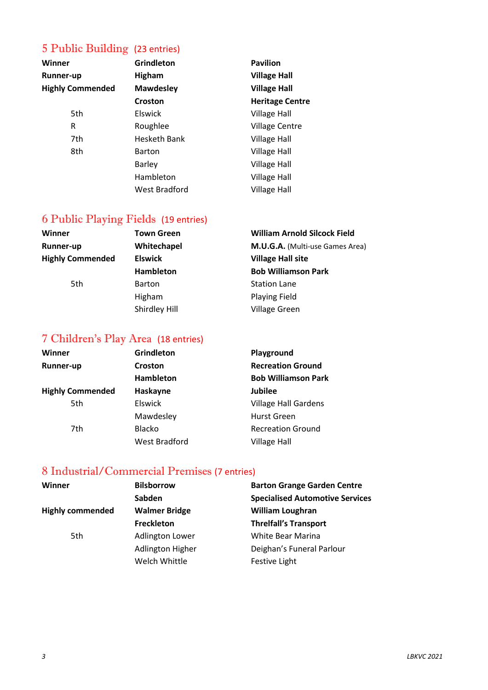#### 5 Public Building (23 entries)

| Winner                  | <b>Grindleton</b>   | <b>Pavilion</b>        |
|-------------------------|---------------------|------------------------|
| <b>Runner-up</b>        | <b>Higham</b>       | <b>Village Hall</b>    |
| <b>Highly Commended</b> | <b>Mawdesley</b>    | <b>Village Hall</b>    |
|                         | Croston             | <b>Heritage Centre</b> |
| 5th                     | Elswick             | <b>Village Hall</b>    |
| R                       | Roughlee            | <b>Village Centre</b>  |
| 7th                     | <b>Hesketh Bank</b> | <b>Village Hall</b>    |
| 8th                     | <b>Barton</b>       | <b>Village Hall</b>    |
|                         | <b>Barley</b>       | <b>Village Hall</b>    |
|                         | Hambleton           | <b>Village Hall</b>    |
|                         | West Bradford       | <b>Village Hall</b>    |

#### 6 Public Playing Fields (19 entries)

| <b>Town Green</b> | <b>William Arnold Silcock Field</b> |
|-------------------|-------------------------------------|
| Whitechapel       | M.U.G.A. (Multi-use Games Area)     |
| <b>Elswick</b>    | <b>Village Hall site</b>            |
| <b>Hambleton</b>  | <b>Bob Williamson Park</b>          |
| <b>Barton</b>     | <b>Station Lane</b>                 |
| Higham            | <b>Playing Field</b>                |
| Shirdley Hill     | <b>Village Green</b>                |
|                   |                                     |

#### 7 Children's Play Area (18 entries)

| Winner                  | <b>Grindleton</b>    | Playground                  |
|-------------------------|----------------------|-----------------------------|
| <b>Runner-up</b>        | Croston              | <b>Recreation Ground</b>    |
|                         | <b>Hambleton</b>     | <b>Bob Williamson Park</b>  |
| <b>Highly Commended</b> | Haskayne             | <b>Jubilee</b>              |
| 5th                     | Elswick              | <b>Village Hall Gardens</b> |
|                         | Mawdesley            | <b>Hurst Green</b>          |
| 7th                     | <b>Blacko</b>        | <b>Recreation Ground</b>    |
|                         | <b>West Bradford</b> | <b>Village Hall</b>         |

#### 8 Industrial/Commercial Premises (7 entries)

| Winner                  | <b>Bilsborrow</b>      | <b>Barton Grange Garden Centre</b>     |
|-------------------------|------------------------|----------------------------------------|
|                         | Sabden                 | <b>Specialised Automotive Services</b> |
| <b>Highly commended</b> | <b>Walmer Bridge</b>   | <b>William Loughran</b>                |
|                         | Freckleton             | <b>Threlfall's Transport</b>           |
| 5th                     | <b>Adlington Lower</b> | White Bear Marina                      |
|                         | Adlington Higher       | Deighan's Funeral Parlour              |
|                         | Welch Whittle          | Festive Light                          |
|                         |                        |                                        |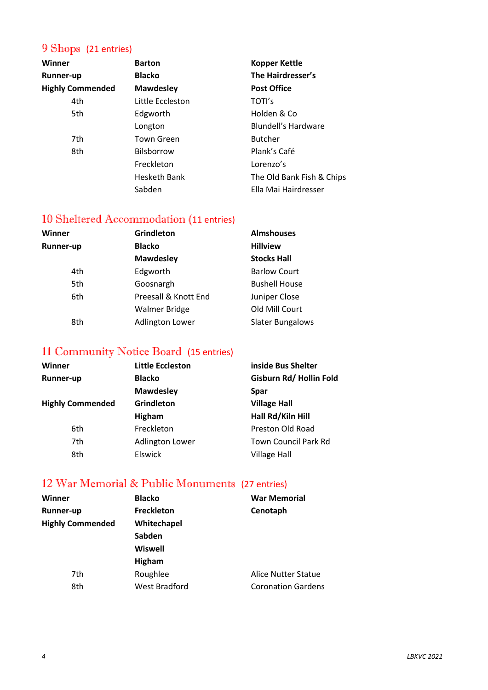#### 9 Shops (21 entries)

| Winner                  | <b>Barton</b>       | <b>Kopper Kettle</b>      |
|-------------------------|---------------------|---------------------------|
| <b>Runner-up</b>        | <b>Blacko</b>       | The Hairdresser's         |
| <b>Highly Commended</b> | <b>Mawdesley</b>    | <b>Post Office</b>        |
| 4th                     | Little Eccleston    | TOTI's                    |
| 5th                     | Edgworth            | Holden & Co               |
|                         | Longton             | Blundell's Hardware       |
| 7th                     | <b>Town Green</b>   | <b>Butcher</b>            |
| 8th                     | <b>Bilsborrow</b>   | Plank's Café              |
|                         | Freckleton          | Lorenzo's                 |
|                         | <b>Hesketh Bank</b> | The Old Bank Fish & Chips |
|                         | Sabden              | Ella Mai Hairdresser      |

#### 10 Sheltered Accommodation (11 entries)

| Winner           | Grindleton             | <b>Almshouses</b>       |  |
|------------------|------------------------|-------------------------|--|
| <b>Runner-up</b> | <b>Blacko</b>          | <b>Hillview</b>         |  |
|                  | <b>Mawdesley</b>       | <b>Stocks Hall</b>      |  |
| 4th              | Edgworth               | <b>Barlow Court</b>     |  |
| 5th              | Goosnargh              | <b>Bushell House</b>    |  |
| 6th              | Preesall & Knott End   | Juniper Close           |  |
|                  | <b>Walmer Bridge</b>   | Old Mill Court          |  |
| 8th              | <b>Adlington Lower</b> | <b>Slater Bungalows</b> |  |

#### 11 Community Notice Board (15 entries)

| <b>Little Eccleston</b> | inside Bus Shelter          |
|-------------------------|-----------------------------|
| <b>Blacko</b>           | Gisburn Rd/Hollin Fold      |
| <b>Mawdesley</b>        | <b>Spar</b>                 |
| Grindleton              | <b>Village Hall</b>         |
| Higham                  | Hall Rd/Kiln Hill           |
| Freckleton              | Preston Old Road            |
| <b>Adlington Lower</b>  | <b>Town Council Park Rd</b> |
| Elswick                 | <b>Village Hall</b>         |
|                         |                             |

#### 12 War Memorial & Public Monuments (27 entries)

| Winner                  | <b>Blacko</b>        | <b>War Memorial</b>        |
|-------------------------|----------------------|----------------------------|
| <b>Runner-up</b>        | <b>Freckleton</b>    | Cenotaph                   |
| <b>Highly Commended</b> | Whitechapel          |                            |
|                         | Sabden               |                            |
|                         | <b>Wiswell</b>       |                            |
|                         | <b>Higham</b>        |                            |
| 7th                     | Roughlee             | <b>Alice Nutter Statue</b> |
| 8th                     | <b>West Bradford</b> | <b>Coronation Gardens</b>  |
|                         |                      |                            |